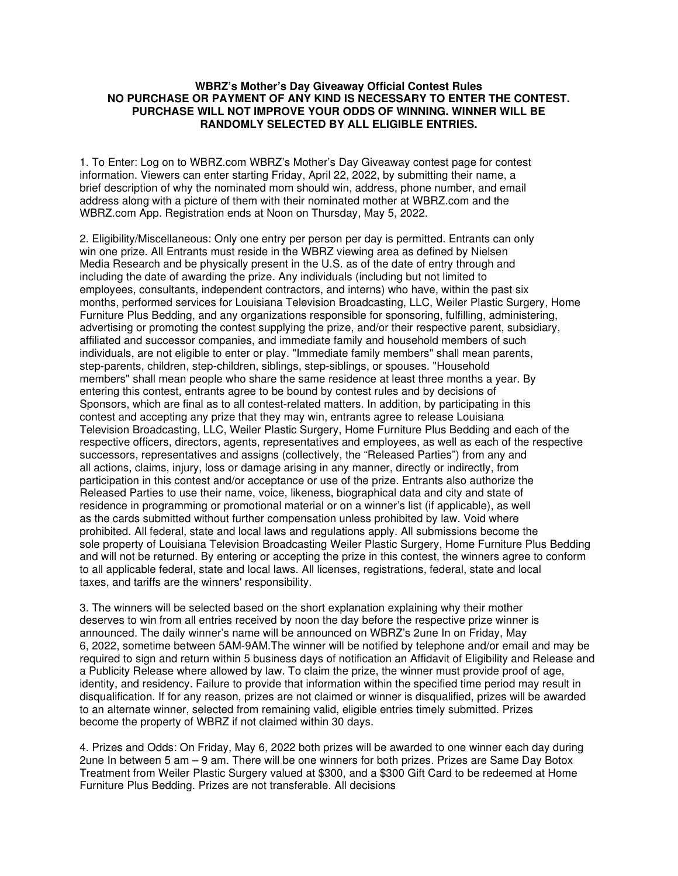## **WBRZ's Mother's Day Giveaway Official Contest Rules NO PURCHASE OR PAYMENT OF ANY KIND IS NECESSARY TO ENTER THE CONTEST. PURCHASE WILL NOT IMPROVE YOUR ODDS OF WINNING. WINNER WILL BE RANDOMLY SELECTED BY ALL ELIGIBLE ENTRIES.**

1. To Enter: Log on to WBRZ.com WBRZ's Mother's Day Giveaway contest page for contest information. Viewers can enter starting Friday, April 22, 2022, by submitting their name, a brief description of why the nominated mom should win, address, phone number, and email address along with a picture of them with their nominated mother at WBRZ.com and the WBRZ.com App. Registration ends at Noon on Thursday, May 5, 2022.

2. Eligibility/Miscellaneous: Only one entry per person per day is permitted. Entrants can only win one prize. All Entrants must reside in the WBRZ viewing area as defined by Nielsen Media Research and be physically present in the U.S. as of the date of entry through and including the date of awarding the prize. Any individuals (including but not limited to employees, consultants, independent contractors, and interns) who have, within the past six months, performed services for Louisiana Television Broadcasting, LLC, Weiler Plastic Surgery, Home Furniture Plus Bedding, and any organizations responsible for sponsoring, fulfilling, administering, advertising or promoting the contest supplying the prize, and/or their respective parent, subsidiary, affiliated and successor companies, and immediate family and household members of such individuals, are not eligible to enter or play. "Immediate family members" shall mean parents, step-parents, children, step-children, siblings, step-siblings, or spouses. "Household members" shall mean people who share the same residence at least three months a year. By entering this contest, entrants agree to be bound by contest rules and by decisions of Sponsors, which are final as to all contest-related matters. In addition, by participating in this contest and accepting any prize that they may win, entrants agree to release Louisiana Television Broadcasting, LLC, Weiler Plastic Surgery, Home Furniture Plus Bedding and each of the respective officers, directors, agents, representatives and employees, as well as each of the respective successors, representatives and assigns (collectively, the "Released Parties") from any and all actions, claims, injury, loss or damage arising in any manner, directly or indirectly, from participation in this contest and/or acceptance or use of the prize. Entrants also authorize the Released Parties to use their name, voice, likeness, biographical data and city and state of residence in programming or promotional material or on a winner's list (if applicable), as well as the cards submitted without further compensation unless prohibited by law. Void where prohibited. All federal, state and local laws and regulations apply. All submissions become the sole property of Louisiana Television Broadcasting Weiler Plastic Surgery, Home Furniture Plus Bedding and will not be returned. By entering or accepting the prize in this contest, the winners agree to conform to all applicable federal, state and local laws. All licenses, registrations, federal, state and local taxes, and tariffs are the winners' responsibility.

3. The winners will be selected based on the short explanation explaining why their mother deserves to win from all entries received by noon the day before the respective prize winner is announced. The daily winner's name will be announced on WBRZ's 2une In on Friday, May 6, 2022, sometime between 5AM-9AM.The winner will be notified by telephone and/or email and may be required to sign and return within 5 business days of notification an Affidavit of Eligibility and Release and a Publicity Release where allowed by law. To claim the prize, the winner must provide proof of age, identity, and residency. Failure to provide that information within the specified time period may result in disqualification. If for any reason, prizes are not claimed or winner is disqualified, prizes will be awarded to an alternate winner, selected from remaining valid, eligible entries timely submitted. Prizes become the property of WBRZ if not claimed within 30 days.

4. Prizes and Odds: On Friday, May 6, 2022 both prizes will be awarded to one winner each day during 2une In between 5 am – 9 am. There will be one winners for both prizes. Prizes are Same Day Botox Treatment from Weiler Plastic Surgery valued at \$300, and a \$300 Gift Card to be redeemed at Home Furniture Plus Bedding. Prizes are not transferable. All decisions